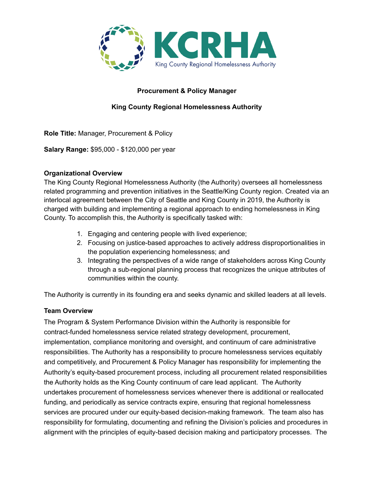

### **Procurement & Policy Manager**

### **King County Regional Homelessness Authority**

**Role Title:** Manager, Procurement & Policy

**Salary Range:** \$95,000 - \$120,000 per year

#### **Organizational Overview**

The King County Regional Homelessness Authority (the Authority) oversees all homelessness related programming and prevention initiatives in the Seattle/King County region. Created via an interlocal agreement between the City of Seattle and King County in 2019, the Authority is charged with building and implementing a regional approach to ending homelessness in King County. To accomplish this, the Authority is specifically tasked with:

- 1. Engaging and centering people with lived experience;
- 2. Focusing on justice-based approaches to actively address disproportionalities in the population experiencing homelessness; and
- 3. Integrating the perspectives of a wide range of stakeholders across King County through a sub-regional planning process that recognizes the unique attributes of communities within the county.

The Authority is currently in its founding era and seeks dynamic and skilled leaders at all levels.

### **Team Overview**

The Program & System Performance Division within the Authority is responsible for contract-funded homelessness service related strategy development, procurement, implementation, compliance monitoring and oversight, and continuum of care administrative responsibilities. The Authority has a responsibility to procure homelessness services equitably and competitively, and Procurement & Policy Manager has responsibility for implementing the Authority's equity-based procurement process, including all procurement related responsibilities the Authority holds as the King County continuum of care lead applicant. The Authority undertakes procurement of homelessness services whenever there is additional or reallocated funding, and periodically as service contracts expire, ensuring that regional homelessness services are procured under our equity-based decision-making framework. The team also has responsibility for formulating, documenting and refining the Division's policies and procedures in alignment with the principles of equity-based decision making and participatory processes. The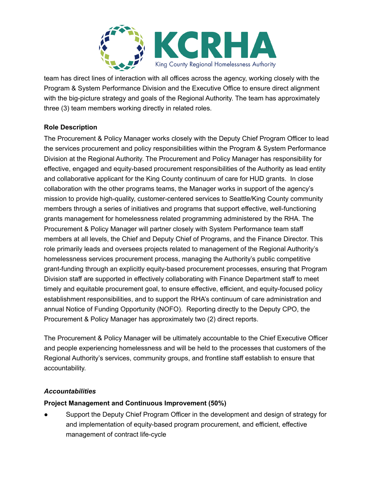

team has direct lines of interaction with all offices across the agency, working closely with the Program & System Performance Division and the Executive Office to ensure direct alignment with the big-picture strategy and goals of the Regional Authority. The team has approximately three (3) team members working directly in related roles.

### **Role Description**

The Procurement & Policy Manager works closely with the Deputy Chief Program Officer to lead the services procurement and policy responsibilities within the Program & System Performance Division at the Regional Authority. The Procurement and Policy Manager has responsibility for effective, engaged and equity-based procurement responsibilities of the Authority as lead entity and collaborative applicant for the King County continuum of care for HUD grants. In close collaboration with the other programs teams, the Manager works in support of the agency's mission to provide high-quality, customer-centered services to Seattle/King County community members through a series of initiatives and programs that support effective, well-functioning grants management for homelessness related programming administered by the RHA. The Procurement & Policy Manager will partner closely with System Performance team staff members at all levels, the Chief and Deputy Chief of Programs, and the Finance Director. This role primarily leads and oversees projects related to management of the Regional Authority's homelessness services procurement process, managing the Authority's public competitive grant-funding through an explicitly equity-based procurement processes, ensuring that Program Division staff are supported in effectively collaborating with Finance Department staff to meet timely and equitable procurement goal, to ensure effective, efficient, and equity-focused policy establishment responsibilities, and to support the RHA's continuum of care administration and annual Notice of Funding Opportunity (NOFO). Reporting directly to the Deputy CPO, the Procurement & Policy Manager has approximately two (2) direct reports.

The Procurement & Policy Manager will be ultimately accountable to the Chief Executive Officer and people experiencing homelessness and will be held to the processes that customers of the Regional Authority's services, community groups, and frontline staff establish to ensure that accountability.

### *Accountabilities*

### **Project Management and Continuous Improvement (50%)**

Support the Deputy Chief Program Officer in the development and design of strategy for and implementation of equity-based program procurement, and efficient, effective management of contract life-cycle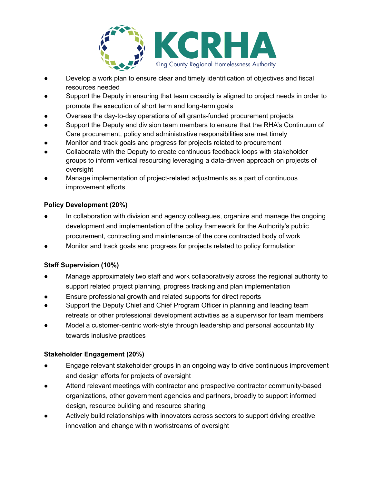

- Develop a work plan to ensure clear and timely identification of objectives and fiscal resources needed
- Support the Deputy in ensuring that team capacity is aligned to project needs in order to promote the execution of short term and long-term goals
- Oversee the day-to-day operations of all grants-funded procurement projects
- Support the Deputy and division team members to ensure that the RHA's Continuum of Care procurement, policy and administrative responsibilities are met timely
- Monitor and track goals and progress for projects related to procurement
- Collaborate with the Deputy to create continuous feedback loops with stakeholder groups to inform vertical resourcing leveraging a data-driven approach on projects of oversight
- Manage implementation of project-related adjustments as a part of continuous improvement efforts

# **Policy Development (20%)**

- In collaboration with division and agency colleagues, organize and manage the ongoing development and implementation of the policy framework for the Authority's public procurement, contracting and maintenance of the core contracted body of work
- Monitor and track goals and progress for projects related to policy formulation

# **Staff Supervision (10%)**

- Manage approximately two staff and work collaboratively across the regional authority to support related project planning, progress tracking and plan implementation
- Ensure professional growth and related supports for direct reports
- Support the Deputy Chief and Chief Program Officer in planning and leading team retreats or other professional development activities as a supervisor for team members
- Model a customer-centric work-style through leadership and personal accountability towards inclusive practices

# **Stakeholder Engagement (20%)**

- Engage relevant stakeholder groups in an ongoing way to drive continuous improvement and design efforts for projects of oversight
- Attend relevant meetings with contractor and prospective contractor community-based organizations, other government agencies and partners, broadly to support informed design, resource building and resource sharing
- Actively build relationships with innovators across sectors to support driving creative innovation and change within workstreams of oversight